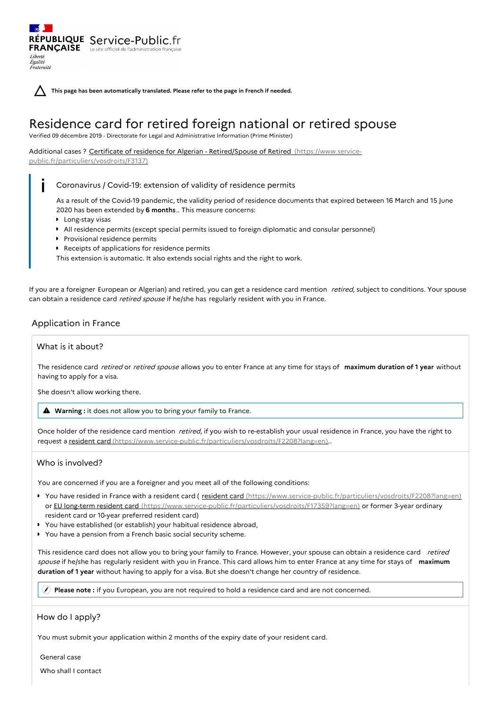**This page has been automatically translated. Please refer to the page in French if needed.**

# Residence card for retired foreign national or retired spouse

Verified 09 décembre 2019 - Directorate for Legal and Administrative Information (Prime Minister)

## Additional cases ? Certificate of residence for Algerian - Retired/Spouse of Retired (https://www.service-

[public.fr/particuliers/vosdroits/F3137\)](https://www.service-public.fr/particuliers/vosdroits/F3137)

RÉPUBLIQUE Service-Public.fr **FRANÇAISE** Le site officiel de l'administration

Liberté Égalité<br>Fraternité

## Coronavirus / Covid-19: extension of validity of residence permits

As a result of the Covid-19 pandemic, the validity period of residence documents that expired between 16 March and 15 June 2020 has been extended by **6 months**.. This measure concerns:

- **Long-stay visas**
- All residence permits (except special permits issued to foreign diplomatic and consular personnel)
- **Provisional residence permits**
- Receipts of applications for residence permits

This extension is automatic. It also extends social rights and the right to work.

If you are a foreigner European or Algerian) and retired, you can get a residence card mention retired, subject to conditions. Your spouse can obtain a residence card retired spouse if he/she has regularly resident with you in France.

## Application in France

## What is it about?

The residence card retired or retired spouse allows you to enter France at any time for stays of **maximum duration of 1 year** without having to apply for a visa.

She doesn't allow working there.

**Warning :** it does not allow you to bring your family to France.

Once holder of the residence card mention retired, if you wish to re-establish your usual residence in France, you have the right to request a resident card [\(https://www.service-public.fr/particuliers/vosdroits/F2208?lang=en\)](https://www.service-public.fr/particuliers/vosdroits/F2208?lang=en)..

## Who is involved?

You are concerned if you are a foreigner and you meet all of the following conditions:

- You have resided in France with a resident card ( resident card [\(https://www.service-public.fr/particuliers/vosdroits/F2208?lang=en\)](https://www.service-public.fr/particuliers/vosdroits/F2208?lang=en) or EU long-term resident card [\(https://www.service-public.fr/particuliers/vosdroits/F17359?lang=en\)](https://www.service-public.fr/particuliers/vosdroits/F17359?lang=en) or former 3-year ordinary resident card or 10-year preferred resident card)
- You have established (or establish) your habitual residence abroad,
- $\bullet$ You have a pension from a French basic social security scheme.

This residence card does not allow you to bring your family to France. However, your spouse can obtain a residence card retired spouse if he/she has regularly resident with you in France. This card allows him to enter France at any time for stays of **maximum duration of 1 year** without having to apply for a visa. But she doesn't change her country of residence.

**Please note :** if you European, you are not required to hold a residence card and are not concerned.

## How do I apply?

You must submit your application within 2 months of the expiry date of your resident card.

General case

Who shall I contact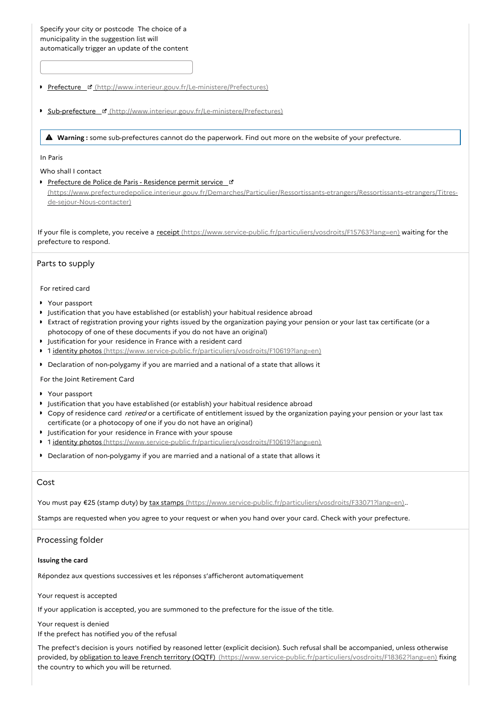- Prefecture ¤ [\(http://www.interieur.gouv.fr/Le-ministere/Prefectures\)](http://www.interieur.gouv.fr/Le-ministere/Prefectures)
- **Sub-prefecture & [\(http://www.interieur.gouv.fr/Le-ministere/Prefectures\)](http://www.interieur.gouv.fr/Le-ministere/Prefectures)**

**Warning :** some sub-prefectures cannot do the paperwork. Find out more on the website of your prefecture.

#### In Paris

Who shall I contact

Prefecture de Police de Paris - Residence permit service [\(https://www.prefecturedepolice.interieur.gouv.fr/Demarches/Particulier/Ressortissants-etrangers/Ressortissants-etrangers/Titres](https://www.prefecturedepolice.interieur.gouv.fr/Demarches/Particulier/Ressortissants-etrangers/Ressortissants-etrangers/Titres-de-sejour-Nous-contacter)de-sejour-Nous-contacter)

If your file is complete, you receive a receipt [\(https://www.service-public.fr/particuliers/vosdroits/F15763?lang=en\)](https://www.service-public.fr/particuliers/vosdroits/F15763?lang=en) waiting for the prefecture to respond.

## Parts to supply

#### For retired card

- Your passport
- Justification that you have established (or establish) your habitual residence abroad
- Extract of registration proving your rights issued by the organization paying your pension or your last tax certificate (or a photocopy of one of these documents if you do not have an original)
- **DED** Justification for your residence in France with a resident card
- 1 identity photos [\(https://www.service-public.fr/particuliers/vosdroits/F10619?lang=en\)](https://www.service-public.fr/particuliers/vosdroits/F10619?lang=en)
- Declaration of non-polygamy if you are married and a national of a state that allows it

#### For the Joint Retirement Card

- Your passport
- Justification that you have established (or establish) your habitual residence abroad
- Copy of residence card *retired* or a certificate of entitlement issued by the organization paying your pension or your last tax certificate (or a photocopy of one if you do not have an original)
- **I** Justification for your residence in France with your spouse
- 1 identity photos [\(https://www.service-public.fr/particuliers/vosdroits/F10619?lang=en\)](https://www.service-public.fr/particuliers/vosdroits/F10619?lang=en)
- Declaration of non-polygamy if you are married and a national of a state that allows it

## Cost

You must pay €25 (stamp duty) by tax stamps [\(https://www.service-public.fr/particuliers/vosdroits/F33071?lang=en\)](https://www.service-public.fr/particuliers/vosdroits/F33071?lang=en)..

Stamps are requested when you agree to your request or when you hand over your card. Check with your prefecture.

## Processing folder

#### **Issuing the card**

Répondez aux questions successives et les réponses s'afficheront automatiquement

Your request is accepted

If your application is accepted, you are summoned to the prefecture for the issue of the title.

Your request is denied If the prefect has notified you of the refusal

The prefect's decision is yours notified by reasoned letter (explicit decision). Such refusal shall be accompanied, unless otherwise provided, by obligation to leave French territory (OQTF) [\(https://www.service-public.fr/particuliers/vosdroits/F18362?lang=en\)](https://www.service-public.fr/particuliers/vosdroits/F18362?lang=en) fixing the country to which you will be returned.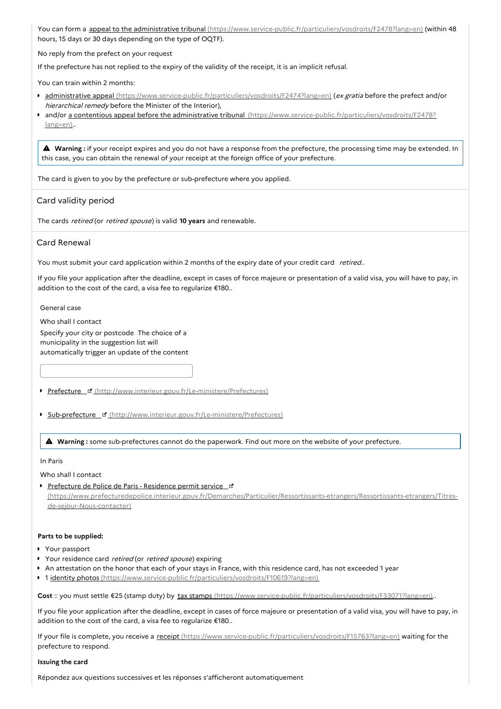You can form a appeal to the administrative tribunal [\(https://www.service-public.fr/particuliers/vosdroits/F2478?lang=en\)](https://www.service-public.fr/particuliers/vosdroits/F2478?lang=en) (within 48 hours, 15 days or 30 days depending on the type of OQTF).

No reply from the prefect on your request

If the prefecture has not replied to the expiry of the validity of the receipt, it is an implicit refusal.

You can train within 2 months:

- **administrative appeal** [\(https://www.service-public.fr/particuliers/vosdroits/F2474?lang=en\)](https://www.service-public.fr/particuliers/vosdroits/F2474?lang=en) (ex gratia before the prefect and/or hierarchical remedy before the Minister of the Interior),
- **and/or a contentious appeal before the administrative tribunal [\(https://www.service-public.fr/particuliers/vosdroits/F2478?](https://www.service-public.fr/particuliers/vosdroits/F2478?lang=en)** lang=en)..

 **Warning :** if your receipt expires and you do not have <sup>a</sup> response from the prefecture, the processing time may be extended. In this case, you can obtain the renewal of your receipt at the foreign office of your prefecture.

The card is given to you by the prefecture or sub-prefecture where you applied.

## Card validity period

The cards retired (or retired spouse) is valid **10 years** and renewable.

## Card Renewal

You must submit your card application within 2 months of the expiry date of your credit card retired..

If you file your application after the deadline, except in cases of force majeure or presentation of a valid visa, you will have to pay, in addition to the cost of the card, a visa fee to regularize €180..

General case

Who shall I contact Specify your city or postcode The choice of a municipality in the suggestion list will automatically trigger an update of the content

- Prefecture & [\(http://www.interieur.gouv.fr/Le-ministere/Prefectures\)](http://www.interieur.gouv.fr/Le-ministere/Prefectures)
- **Sub-prefecture & [\(http://www.interieur.gouv.fr/Le-ministere/Prefectures\)](http://www.interieur.gouv.fr/Le-ministere/Prefectures)**

**Warning :** some sub-prefectures cannot do the paperwork. Find out more on the website of your prefecture.

#### In Paris

Who shall I contact

Prefecture de Police de Paris - Residence permit service\_ [\(https://www.prefecturedepolice.interieur.gouv.fr/Demarches/Particulier/Ressortissants-etrangers/Ressortissants-etrangers/Titres](https://www.prefecturedepolice.interieur.gouv.fr/Demarches/Particulier/Ressortissants-etrangers/Ressortissants-etrangers/Titres-de-sejour-Nous-contacter)de-sejour-Nous-contacter)

#### **Parts to be supplied:**

- Your passport
- Your residence card retired (or retired spouse) expiring
- An attestation on the honor that each of your stays in France, with this residence card, has not exceeded 1 year
- 1 identity photos [\(https://www.service-public.fr/particuliers/vosdroits/F10619?lang=en\)](https://www.service-public.fr/particuliers/vosdroits/F10619?lang=en)

**Cost** :: you must settle €25 (stamp duty) by tax stamps [\(https://www.service-public.fr/particuliers/vosdroits/F33071?lang=en\)](https://www.service-public.fr/particuliers/vosdroits/F33071?lang=en)..

If you file your application after the deadline, except in cases of force majeure or presentation of a valid visa, you will have to pay, in addition to the cost of the card, a visa fee to regularize €180..

If your file is complete, you receive a receipt [\(https://www.service-public.fr/particuliers/vosdroits/F15763?lang=en\)](https://www.service-public.fr/particuliers/vosdroits/F15763?lang=en) waiting for the prefecture to respond.

#### **Issuing the card**

Répondez aux questions successives et les réponses s'afficheront automatiquement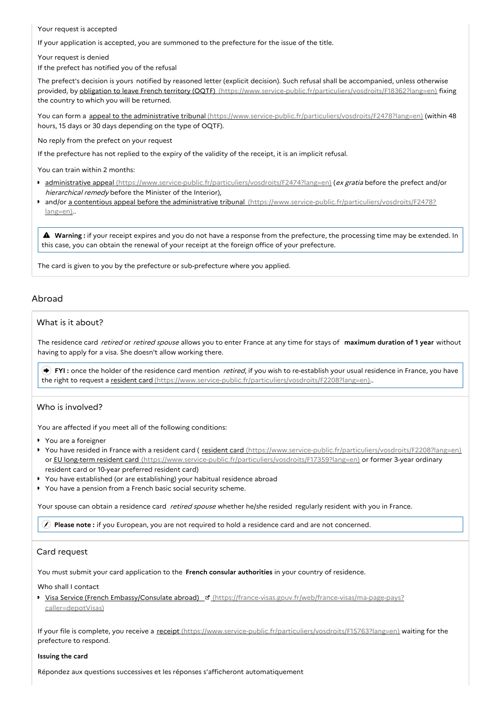Your request is accepted

If your application is accepted, you are summoned to the prefecture for the issue of the title.

Your request is denied

If the prefect has notified you of the refusal

The prefect's decision is yours notified by reasoned letter (explicit decision). Such refusal shall be accompanied, unless otherwise provided, by obligation to leave French territory (OQTF) [\(https://www.service-public.fr/particuliers/vosdroits/F18362?lang=en\)](https://www.service-public.fr/particuliers/vosdroits/F18362?lang=en) fixing the country to which you will be returned.

You can form a appeal to the administrative tribunal [\(https://www.service-public.fr/particuliers/vosdroits/F2478?lang=en\)](https://www.service-public.fr/particuliers/vosdroits/F2478?lang=en) (within 48 hours, 15 days or 30 days depending on the type of OQTF).

No reply from the prefect on your request

If the prefecture has not replied to the expiry of the validity of the receipt, it is an implicit refusal.

You can train within 2 months:

- **administrative appeal** [\(https://www.service-public.fr/particuliers/vosdroits/F2474?lang=en\)](https://www.service-public.fr/particuliers/vosdroits/F2474?lang=en) (ex gratia before the prefect and/or hierarchical remedy before the Minister of the Interior),
- and/or a contentious appeal before the administrative tribunal [\(https://www.service-public.fr/particuliers/vosdroits/F2478?](https://www.service-public.fr/particuliers/vosdroits/F2478?lang=en) lang=en)..

 **Warning :** if your receipt expires and you do not have <sup>a</sup> response from the prefecture, the processing time may be extended. In this case, you can obtain the renewal of your receipt at the foreign office of your prefecture.

The card is given to you by the prefecture or sub-prefecture where you applied.

## Abroad

## What is it about?

The residence card retired or retired spouse allows you to enter France at any time for stays of **maximum duration of 1 year** without having to apply for a visa. She doesn't allow working there.

**FYI**: once the holder of the residence card mention *retired*, if you wish to re-establish your usual residence in France, you have the right to request a resident card [\(https://www.service-public.fr/particuliers/vosdroits/F2208?lang=en\)](https://www.service-public.fr/particuliers/vosdroits/F2208?lang=en)..

## Who is involved?

You are affected if you meet all of the following conditions:

- ▶ You are a foreigner
- You have resided in France with a resident card ( resident card [\(https://www.service-public.fr/particuliers/vosdroits/F2208?lang=en\)](https://www.service-public.fr/particuliers/vosdroits/F2208?lang=en) or EU long-term resident card [\(https://www.service-public.fr/particuliers/vosdroits/F17359?lang=en\)](https://www.service-public.fr/particuliers/vosdroits/F17359?lang=en) or former 3-year ordinary resident card or 10-year preferred resident card)
- You have established (or are establishing) your habitual residence abroad
- You have a pension from a French basic social security scheme.

Your spouse can obtain a residence card retired spouse whether he/she resided regularly resident with you in France.

**Please note :** if you European, you are not required to hold a residence card and are not concerned.

## Card request

You must submit your card application to the **French consular authorities** in your country of residence.

Who shall I contact

Visa Service (French Embassy/Consulate abroad) [d] [\(https://france-visas.gouv.fr/web/france-visas/ma-page-pays?](https://france-visas.gouv.fr/web/france-visas/ma-page-pays?caller=depotVisas) caller=depotVisas)

If your file is complete, you receive a receipt [\(https://www.service-public.fr/particuliers/vosdroits/F15763?lang=en\)](https://www.service-public.fr/particuliers/vosdroits/F15763?lang=en) waiting for the prefecture to respond.

#### **Issuing the card**

Répondez aux questions successives et les réponses s'afficheront automatiquement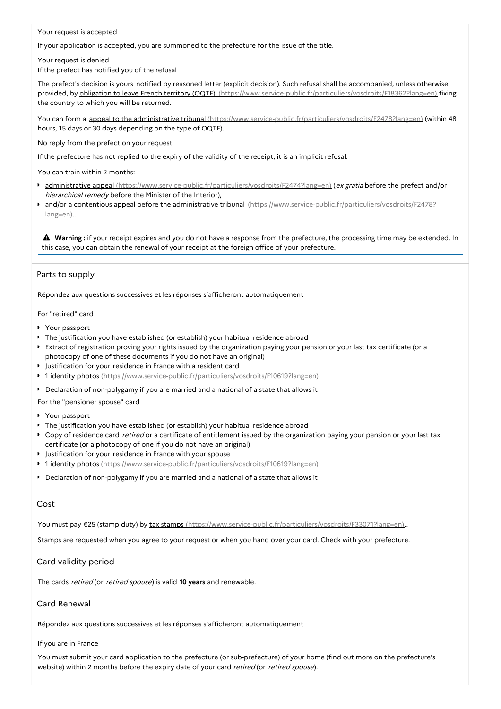Your request is accepted

If your application is accepted, you are summoned to the prefecture for the issue of the title.

Your request is denied

If the prefect has notified you of the refusal

The prefect's decision is yours notified by reasoned letter (explicit decision). Such refusal shall be accompanied, unless otherwise provided, by obligation to leave French territory (OQTF) [\(https://www.service-public.fr/particuliers/vosdroits/F18362?lang=en\)](https://www.service-public.fr/particuliers/vosdroits/F18362?lang=en) fixing the country to which you will be returned.

You can form a appeal to the administrative tribunal [\(https://www.service-public.fr/particuliers/vosdroits/F2478?lang=en\)](https://www.service-public.fr/particuliers/vosdroits/F2478?lang=en) (within 48 hours, 15 days or 30 days depending on the type of OQTF).

No reply from the prefect on your request

If the prefecture has not replied to the expiry of the validity of the receipt, it is an implicit refusal.

You can train within 2 months:

- administrative appeal [\(https://www.service-public.fr/particuliers/vosdroits/F2474?lang=en\)](https://www.service-public.fr/particuliers/vosdroits/F2474?lang=en) (ex gratia before the prefect and/or hierarchical remedy before the Minister of the Interior),
- and/or a contentious appeal before the administrative tribunal [\(https://www.service-public.fr/particuliers/vosdroits/F2478?](https://www.service-public.fr/particuliers/vosdroits/F2478?lang=en) lang=en)..

 **Warning :** if your receipt expires and you do not have <sup>a</sup> response from the prefecture, the processing time may be extended. In this case, you can obtain the renewal of your receipt at the foreign office of your prefecture.

## Parts to supply

Répondez aux questions successives et les réponses s'afficheront automatiquement

For "retired" card

- Your passport
- The justification you have established (or establish) your habitual residence abroad
- Extract of registration proving your rights issued by the organization paying your pension or your last tax certificate (or a photocopy of one of these documents if you do not have an original)
- **I** Justification for your residence in France with a resident card
- 1 identity photos [\(https://www.service-public.fr/particuliers/vosdroits/F10619?lang=en\)](https://www.service-public.fr/particuliers/vosdroits/F10619?lang=en)
- Declaration of non-polygamy if you are married and a national of a state that allows it

For the "pensioner spouse" card

- Your passport
- The justification you have established (or establish) your habitual residence abroad
- Copy of residence card *retired* or a certificate of entitlement issued by the organization paying your pension or your last tax certificate (or a photocopy of one if you do not have an original)
- Justification for your residence in France with your spouse
- <sup>1</sup> 1 *identity photos [\(https://www.service-public.fr/particuliers/vosdroits/F10619?lang=en\)](https://www.service-public.fr/particuliers/vosdroits/F10619?lang=en)*
- Declaration of non-polygamy if you are married and a national of a state that allows it

## Cost

You must pay €25 (stamp duty) by tax stamps [\(https://www.service-public.fr/particuliers/vosdroits/F33071?lang=en\)](https://www.service-public.fr/particuliers/vosdroits/F33071?lang=en)..

Stamps are requested when you agree to your request or when you hand over your card. Check with your prefecture.

## Card validity period

The cards retired (or retired spouse) is valid **10 years** and renewable.

## Card Renewal

Répondez aux questions successives et les réponses s'afficheront automatiquement

## If you are in France

You must submit your card application to the prefecture (or sub-prefecture) of your home (find out more on the prefecture's website) within 2 months before the expiry date of your card retired (or retired spouse).